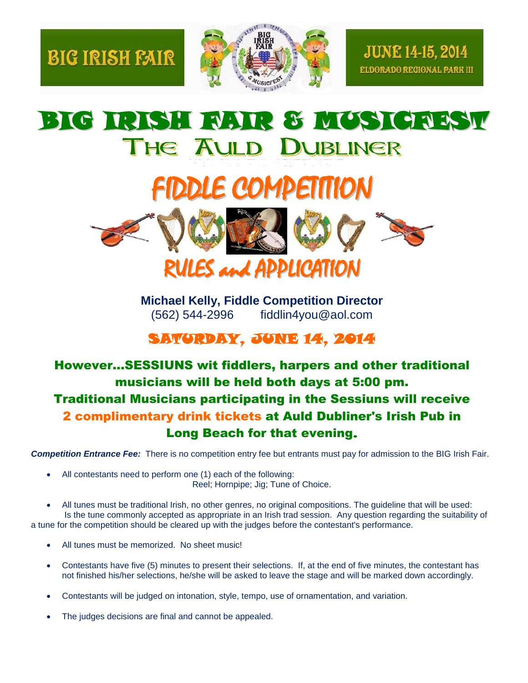



**Michael Kelly, Fiddle Competition Director** (562) 544-2996 fiddlin4you@aol.com

## SATURDAY, JUNE 14, 2014

## However...SESSIUNS wit fiddlers, harpers and other traditional musicians will be held both days at 5:00 pm. Traditional Musicians participating in the Sessiuns will receive 2 complimentary drink tickets at Auld Dubliner's Irish Pub in Long Beach for that evening.

*Competition Entrance Fee:* There is no competition entry fee but entrants must pay for admission to the BIG Irish Fair.

- All contestants need to perform one (1) each of the following: Reel; Hornpipe; Jig; Tune of Choice.
- All tunes must be traditional Irish, no other genres, no original compositions. The guideline that will be used: Is the tune commonly accepted as appropriate in an Irish trad session. Any question regarding the suitability of a tune for the competition should be cleared up with the judges before the contestant's performance.
	- All tunes must be memorized. No sheet music!
	- Contestants have five (5) minutes to present their selections. If, at the end of five minutes, the contestant has not finished his/her selections, he/she will be asked to leave the stage and will be marked down accordingly.
	- Contestants will be judged on intonation, style, tempo, use of ornamentation, and variation.
	- The judges decisions are final and cannot be appealed.